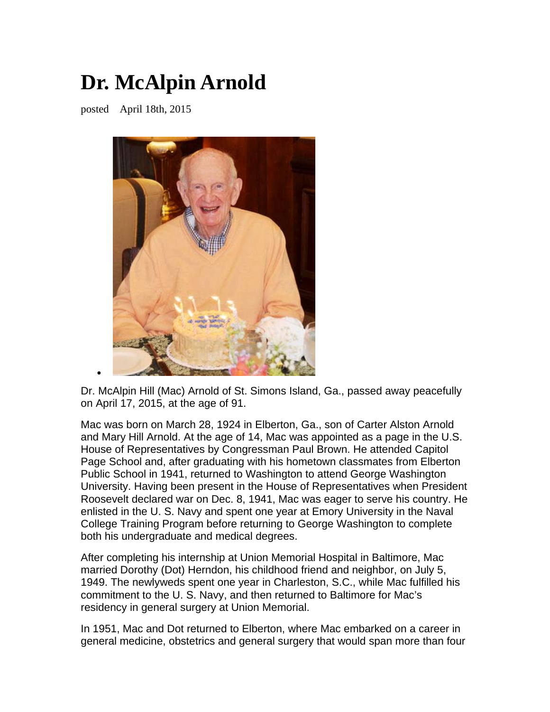## **Dr. McAlpin Arnold**

posted April 18th, 2015

•



Dr. McAlpin Hill (Mac) Arnold of St. Simons Island, Ga., passed away peacefully on April 17, 2015, at the age of 91.

Mac was born on March 28, 1924 in Elberton, Ga., son of Carter Alston Arnold and Mary Hill Arnold. At the age of 14, Mac was appointed as a page in the U.S. House of Representatives by Congressman Paul Brown. He attended Capitol Page School and, after graduating with his hometown classmates from Elberton Public School in 1941, returned to Washington to attend George Washington University. Having been present in the House of Representatives when President Roosevelt declared war on Dec. 8, 1941, Mac was eager to serve his country. He enlisted in the U. S. Navy and spent one year at Emory University in the Naval College Training Program before returning to George Washington to complete both his undergraduate and medical degrees.

After completing his internship at Union Memorial Hospital in Baltimore, Mac married Dorothy (Dot) Herndon, his childhood friend and neighbor, on July 5, 1949. The newlyweds spent one year in Charleston, S.C., while Mac fulfilled his commitment to the U. S. Navy, and then returned to Baltimore for Mac's residency in general surgery at Union Memorial.

In 1951, Mac and Dot returned to Elberton, where Mac embarked on a career in general medicine, obstetrics and general surgery that would span more than four